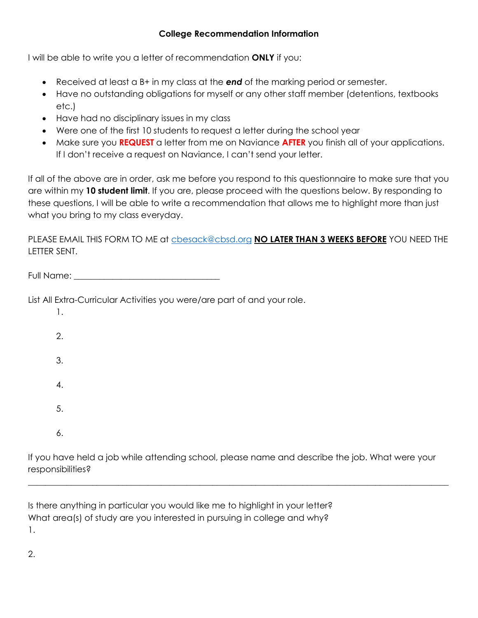## **College Recommendation Information**

I will be able to write you a letter of recommendation **ONLY** if you:

- Received at least a B+ in my class at the *end* of the marking period or semester.
- Have no outstanding obligations for myself or any other staff member (detentions, textbooks etc.)
- Have had no disciplinary issues in my class
- Were one of the first 10 students to request a letter during the school year
- Make sure you **REQUEST** a letter from me on Naviance **AFTER** you finish all of your applications. If I don't receive a request on Naviance, I can't send your letter.

If all of the above are in order, ask me before you respond to this questionnaire to make sure that you are within my **10 student limit**. If you are, please proceed with the questions below. By responding to these questions, I will be able to write a recommendation that allows me to highlight more than just what you bring to my class everyday.

PLEASE EMAIL THIS FORM TO ME at [cbesack@cbsd.org](mailto:cbesack@cbsd.org) **NO LATER THAN 3 WEEKS BEFORE** YOU NEED THE LETTER SENT.

List All Extra-Curricular Activities you were/are part of and your role.

1. 2. 3. 4. 5. 6.

If you have held a job while attending school, please name and describe the job. What were your responsibilities?

 $\_$  ,  $\_$  ,  $\_$  ,  $\_$  ,  $\_$  ,  $\_$  ,  $\_$  ,  $\_$  ,  $\_$  ,  $\_$  ,  $\_$  ,  $\_$  ,  $\_$  ,  $\_$  ,  $\_$  ,  $\_$  ,  $\_$  ,  $\_$  ,  $\_$  ,  $\_$  ,  $\_$  ,  $\_$  ,  $\_$  ,  $\_$  ,  $\_$  ,  $\_$  ,  $\_$  ,  $\_$  ,  $\_$  ,  $\_$  ,  $\_$  ,  $\_$  ,  $\_$  ,  $\_$  ,  $\_$  ,  $\_$  ,  $\_$  ,

Is there anything in particular you would like me to highlight in your letter? What area(s) of study are you interested in pursuing in college and why? 1.

2.